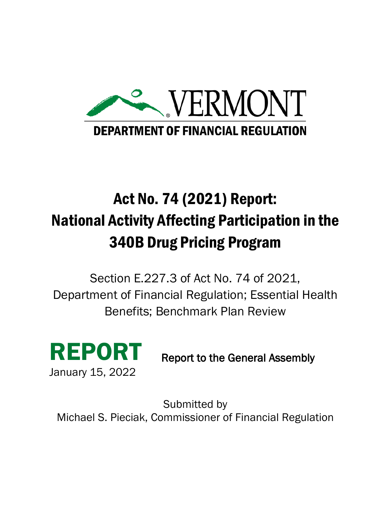

# Act No. 74 (2021) Report: National Activity Affecting Participation in the 340B Drug Pricing Program

Section E.227.3 of Act No. 74 of 2021, Department of Financial Regulation; Essential Health Benefits; Benchmark Plan Review



Report to the General Assembly

Submitted by Michael S. Pieciak, Commissioner of Financial Regulation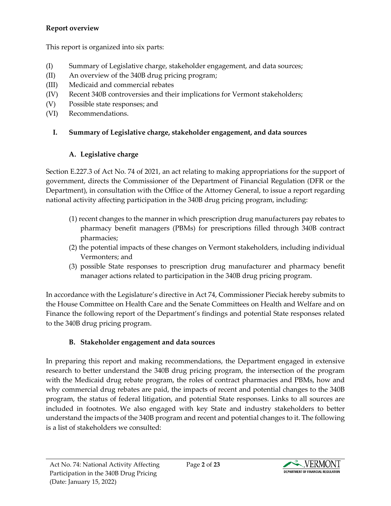## **Report overview**

This report is organized into six parts:

- (I) Summary of Legislative charge, stakeholder engagement, and data sources;
- (II) An overview of the 340B drug pricing program;
- (III) Medicaid and commercial rebates
- (IV) Recent 340B controversies and their implications for Vermont stakeholders;
- (V) Possible state responses; and
- (VI) Recommendations.

## **I. Summary of Legislative charge, stakeholder engagement, and data sources**

## **A. Legislative charge**

Section E.227.3 of Act No. 74 of 2021, an act relating to making appropriations for the support of government, directs the Commissioner of the Department of Financial Regulation (DFR or the Department), in consultation with the Office of the Attorney General, to issue a report regarding national activity affecting participation in the 340B drug pricing program, including:

- (1) recent changes to the manner in which prescription drug manufacturers pay rebates to pharmacy benefit managers (PBMs) for prescriptions filled through 340B contract pharmacies;
- (2) the potential impacts of these changes on Vermont stakeholders, including individual Vermonters; and
- (3) possible State responses to prescription drug manufacturer and pharmacy benefit manager actions related to participation in the 340B drug pricing program.

In accordance with the Legislature's directive in Act 74, Commissioner Pieciak hereby submits to the House Committee on Health Care and the Senate Committees on Health and Welfare and on Finance the following report of the Department's findings and potential State responses related to the 340B drug pricing program.

## **B. Stakeholder engagement and data sources**

In preparing this report and making recommendations, the Department engaged in extensive research to better understand the 340B drug pricing program, the intersection of the program with the Medicaid drug rebate program, the roles of contract pharmacies and PBMs, how and why commercial drug rebates are paid, the impacts of recent and potential changes to the 340B program, the status of federal litigation, and potential State responses. Links to all sources are included in footnotes. We also engaged with key State and industry stakeholders to better understand the impacts of the 340B program and recent and potential changes to it. The following is a list of stakeholders we consulted:

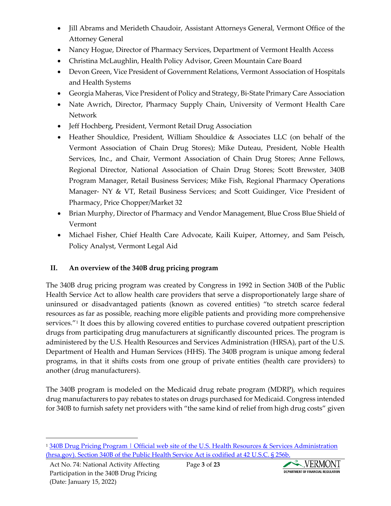- Jill Abrams and Merideth Chaudoir, Assistant Attorneys General, Vermont Office of the Attorney General
- Nancy Hogue, Director of Pharmacy Services, Department of Vermont Health Access
- Christina McLaughlin, Health Policy Advisor, Green Mountain Care Board
- Devon Green, Vice President of Government Relations, Vermont Association of Hospitals and Health Systems
- Georgia Maheras, Vice President of Policy and Strategy, Bi-State Primary Care Association
- Nate Awrich, Director, Pharmacy Supply Chain, University of Vermont Health Care Network
- Jeff Hochberg, President, Vermont Retail Drug Association
- Heather Shouldice, President, William Shouldice & Associates LLC (on behalf of the Vermont Association of Chain Drug Stores); Mike Duteau, President, Noble Health Services, Inc., and Chair, Vermont Association of Chain Drug Stores; Anne Fellows, Regional Director, National Association of Chain Drug Stores; Scott Brewster, 340B Program Manager, Retail Business Services; Mike Fish, Regional Pharmacy Operations Manager- NY & VT, Retail Business Services; and Scott Guidinger, Vice President of Pharmacy, Price Chopper/Market 32
- Brian Murphy, Director of Pharmacy and Vendor Management, Blue Cross Blue Shield of Vermont
- Michael Fisher, Chief Health Care Advocate, Kaili Kuiper, Attorney, and Sam Peisch, Policy Analyst, Vermont Legal Aid

# **II. An overview of the 340B drug pricing program**

The 340B drug pricing program was created by Congress in 1992 in Section 340B of the Public Health Service Act to allow health care providers that serve a disproportionately large share of uninsured or disadvantaged patients (known as covered entities) "to stretch scarce federal resources as far as possible, reaching more eligible patients and providing more comprehensive services."<sup>[1](#page-2-0)</sup> It does this by allowing covered entities to purchase covered outpatient prescription drugs from participating drug manufacturers at significantly discounted prices. The program is administered by the U.S. Health Resources and Services Administration (HRSA), part of the U.S. Department of Health and Human Services (HHS). The 340B program is unique among federal programs, in that it shifts costs from one group of private entities (health care providers) to another (drug manufacturers).

The 340B program is modeled on the Medicaid drug rebate program (MDRP), which requires drug manufacturers to pay rebates to states on drugs purchased for Medicaid. Congress intended for 340B to furnish safety net providers with "the same kind of relief from high drug costs" given



<span id="page-2-0"></span><sup>&</sup>lt;sup>1</sup> 340B Drug Pricing Program | Official web site of the U.S. Health Resources & Services Administration [\(hrsa.gov\).](https://www.hrsa.gov/opa/index.html) Section 340B of the Public Health Service Act is codified at 42 U.S.C. § 256b.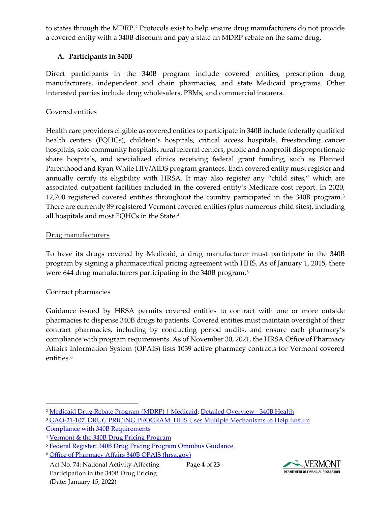to states through the MDRP.[2](#page-3-0) Protocols exist to help ensure drug manufacturers do not provide a covered entity with a 340B discount and pay a state an MDRP rebate on the same drug.

## **A. Participants in 340B**

Direct participants in the 340B program include covered entities, prescription drug manufacturers, independent and chain pharmacies, and state Medicaid programs. Other interested parties include drug wholesalers, PBMs, and commercial insurers.

#### Covered entities

Health care providers eligible as covered entities to participate in 340B include federally qualified health centers (FQHCs), children's hospitals, critical access hospitals, freestanding cancer hospitals, sole community hospitals, rural referral centers, public and nonprofit disproportionate share hospitals, and specialized clinics receiving federal grant funding, such as Planned Parenthood and Ryan White HIV/AIDS program grantees. Each covered entity must register and annually certify its eligibility with HRSA. It may also register any "child sites," which are associated outpatient facilities included in the covered entity's Medicare cost report. In 2020, 12,700 registered covered entities throughout the country participated in the 340B program.[3](#page-3-1) There are currently 89 registered Vermont covered entities (plus numerous child sites), including all hospitals and most FQHCs in the State.[4](#page-3-2)

## Drug manufacturers

To have its drugs covered by Medicaid, a drug manufacturer must participate in the 340B program by signing a pharmaceutical pricing agreement with HHS. As of January 1, 2015, there were 644 drug manufacturers participating in the 340B program.[5](#page-3-3)

#### Contract pharmacies

Guidance issued by HRSA permits covered entities to contract with one or more outside pharmacies to dispense 340B drugs to patients. Covered entities must maintain oversight of their contract pharmacies, including by conducting period audits, and ensure each pharmacy's compliance with program requirements. As of November 30, 2021, the HRSA Office of Pharmacy Affairs Information System (OPAIS) lists 1039 active pharmacy contracts for Vermont covered entities.<sup>6</sup>



<span id="page-3-0"></span><sup>2</sup> [Medicaid Drug Rebate Program \(MDRP\) | Medicaid;](https://www.medicaid.gov/medicaid/prescription-drugs/medicaid-drug-rebate-program/index.html) [Detailed Overview -](https://www.340bhealth.org/members/340b-program/overview/) 340B Health

<span id="page-3-1"></span><sup>&</sup>lt;sup>3</sup> GAO-21-107, DRUG PRICING PROGRAM: HHS Uses Multiple Mechanisms to Help Ensure

[Compliance with 340B Requirements](https://www.gao.gov/assets/gao-21-107.pdf)

<span id="page-3-2"></span><sup>4</sup> [Vermont & the 340B Drug Pricing Program](https://gmcboard.vermont.gov/sites/gmcb/files/documents/340B%20Intro%20for%20GMCB%20Technical%20Advisory%20Group.pdf)

<span id="page-3-3"></span><sup>&</sup>lt;sup>5</sup> Federal Register: [340B Drug Pricing Program Omnibus Guidance](https://www.federalregister.gov/documents/2015/08/28/2015-21246/340b-drug-pricing-program-omnibus-guidance)

<span id="page-3-4"></span><sup>6</sup> [Office of Pharmacy Affairs 340B OPAIS \(hrsa.gov\)](https://340bopais.hrsa.gov/home)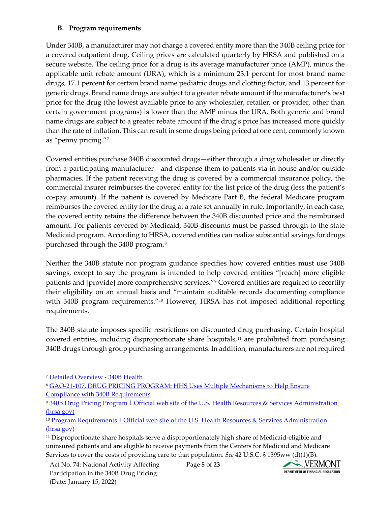## **B. Program requirements**

Under 340B, a manufacturer may not charge a covered entity more than the 340B ceiling price for a covered outpatient drug. Ceiling prices are calculated quarterly by HRSA and published on a secure website. The ceiling price for a drug is its average manufacturer price (AMP), minus the applicable unit rebate amount (URA), which is a minimum 23.1 percent for most brand name drugs, 17.1 percent for certain brand name pediatric drugs and clotting factor, and 13 percent for generic drugs. Brand name drugs are subject to a greater rebate amount if the manufacturer's best price for the drug (the lowest available price to any wholesaler, retailer, or provider, other than certain government programs) is lower than the AMP minus the URA. Both generic and brand name drugs are subject to a greater rebate amount if the drug's price has increased more quickly than the rate of inflation. This can result in some drugs being priced at one cent, commonly known as "penny pricing."[7](#page-4-0)

Covered entities purchase 340B discounted drugs—either through a drug wholesaler or directly from a participating manufacturer—and dispense them to patients via in-house and/or outside pharmacies. If the patient receiving the drug is covered by a commercial insurance policy, the commercial insurer reimburses the covered entity for the list price of the drug (less the patient's co-pay amount). If the patient is covered by Medicare Part B, the federal Medicare program reimburses the covered entity for the drug at a rate set annually in rule. Importantly, in each case, the covered entity retains the difference between the 340B discounted price and the reimbursed amount. For patients covered by Medicaid, 340B discounts must be passed through to the state Medicaid program. According to HRSA, covered entities can realize substantial savings for drugs purchased through the 340B program.[8](#page-4-1)

Neither the 340B statute nor program guidance specifies how covered entities must use 340B savings, except to say the program is intended to help covered entities "[reach] more eligible patients and [provide] more comprehensive services."[9](#page-4-2) Covered entities are required to recertify their eligibility on an annual basis and "maintain auditable records documenting compliance with 340B program requirements.<sup>"[10](#page-4-3)</sup> However, HRSA has not imposed additional reporting requirements.

The 340B statute imposes specific restrictions on discounted drug purchasing. Certain hospital covered entities, including disproportionate share hospitals, $11$  are prohibited from purchasing 340B drugs through group purchasing arrangements. In addition, manufacturers are not required



<span id="page-4-0"></span><sup>7</sup> [Detailed Overview -](https://www.340bhealth.org/members/340b-program/overview/) 340B Health

<span id="page-4-1"></span><sup>8</sup> [GAO-21-107, DRUG PRICING PROGRAM: HHS Uses Multiple Mechanisms to Help Ensure](https://www.gao.gov/assets/gao-21-107.pdf)  [Compliance with 340B Requirements](https://www.gao.gov/assets/gao-21-107.pdf)

<span id="page-4-2"></span><sup>9</sup> [340B Drug Pricing Program | Official web site of the U.S. Health Resources & Services Administration](https://www.hrsa.gov/opa/index.html)  [\(hrsa.gov\)](https://www.hrsa.gov/opa/index.html)

<span id="page-4-3"></span><sup>&</sup>lt;sup>10</sup> Program Requirements | Official web site of the U.S. Health Resources & Services Administration [\(hrsa.gov\)](https://www.hrsa.gov/opa/program-requirements/index.html)

<span id="page-4-4"></span><sup>11</sup> Disproportionate share hospitals serve a disproportionately high share of Medicaid-eligible and uninsured patients and are eligible to receive payments from the Centers for Medicaid and Medicare Services to cover the costs of providing care to that population. *See* 42 U.S.C. § 1395ww (d)(1)(B).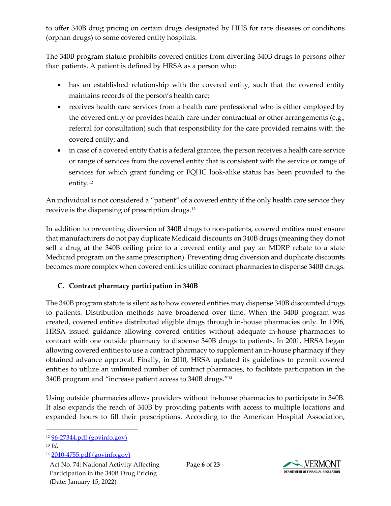to offer 340B drug pricing on certain drugs designated by HHS for rare diseases or conditions (orphan drugs) to some covered entity hospitals.

The 340B program statute prohibits covered entities from diverting 340B drugs to persons other than patients. A patient is defined by HRSA as a person who:

- has an established relationship with the covered entity, such that the covered entity maintains records of the person's health care;
- receives health care services from a health care professional who is either employed by the covered entity or provides health care under contractual or other arrangements (e.g., referral for consultation) such that responsibility for the care provided remains with the covered entity; and
- in case of a covered entity that is a federal grantee, the person receives a health care service or range of services from the covered entity that is consistent with the service or range of services for which grant funding or FQHC look-alike status has been provided to the entity[.12](#page-5-0)

An individual is not considered a "patient" of a covered entity if the only health care service they receive is the dispensing of prescription drugs.[13](#page-5-1)

In addition to preventing diversion of 340B drugs to non-patients, covered entities must ensure that manufacturers do not pay duplicate Medicaid discounts on 340B drugs (meaning they do not sell a drug at the 340B ceiling price to a covered entity and pay an MDRP rebate to a state Medicaid program on the same prescription). Preventing drug diversion and duplicate discounts becomes more complex when covered entities utilize contract pharmacies to dispense 340B drugs.

## **C. Contract pharmacy participation in 340B**

The 340B program statute is silent as to how covered entities may dispense 340B discounted drugs to patients. Distribution methods have broadened over time. When the 340B program was created, covered entities distributed eligible drugs through in-house pharmacies only. In 1996, HRSA issued guidance allowing covered entities without adequate in-house pharmacies to contract with one outside pharmacy to dispense 340B drugs to patients. In 2001, HRSA began allowing covered entities to use a contract pharmacy to supplement an in-house pharmacy if they obtained advance approval. Finally, in 2010, HRSA updated its guidelines to permit covered entities to utilize an unlimited number of contract pharmacies, to facilitate participation in the 340B program and "increase patient access to 340B drugs.["14](#page-5-2)

Using outside pharmacies allows providers without in-house pharmacies to participate in 340B. It also expands the reach of 340B by providing patients with access to multiple locations and expanded hours to fill their prescriptions. According to the American Hospital Association,

<span id="page-5-2"></span><sup>14</sup> [2010-4755.pdf \(govinfo.gov\)](https://www.govinfo.gov/content/pkg/FR-2010-03-05/pdf/2010-4755.pdf)



<span id="page-5-0"></span><sup>12</sup> [96-27344.pdf \(govinfo.gov\)](https://www.govinfo.gov/content/pkg/FR-1996-10-24/pdf/96-27344.pdf)

<span id="page-5-1"></span><sup>13</sup> *Id.*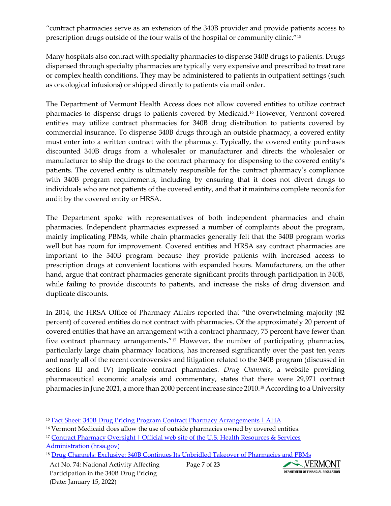"contract pharmacies serve as an extension of the 340B provider and provide patients access to prescription drugs outside of the four walls of the hospital or community clinic.["15](#page-6-0)

Many hospitals also contract with specialty pharmacies to dispense 340B drugs to patients. Drugs dispensed through specialty pharmacies are typically very expensive and prescribed to treat rare or complex health conditions. They may be administered to patients in outpatient settings (such as oncological infusions) or shipped directly to patients via mail order.

The Department of Vermont Health Access does not allow covered entities to utilize contract pharmacies to dispense drugs to patients covered by Medicaid.[16](#page-6-1) However, Vermont covered entities may utilize contract pharmacies for 340B drug distribution to patients covered by commercial insurance. To dispense 340B drugs through an outside pharmacy, a covered entity must enter into a written contract with the pharmacy. Typically, the covered entity purchases discounted 340B drugs from a wholesaler or manufacturer and directs the wholesaler or manufacturer to ship the drugs to the contract pharmacy for dispensing to the covered entity's patients. The covered entity is ultimately responsible for the contract pharmacy's compliance with 340B program requirements, including by ensuring that it does not divert drugs to individuals who are not patients of the covered entity, and that it maintains complete records for audit by the covered entity or HRSA.

The Department spoke with representatives of both independent pharmacies and chain pharmacies. Independent pharmacies expressed a number of complaints about the program, mainly implicating PBMs, while chain pharmacies generally felt that the 340B program works well but has room for improvement. Covered entities and HRSA say contract pharmacies are important to the 340B program because they provide patients with increased access to prescription drugs at convenient locations with expanded hours. Manufacturers, on the other hand, argue that contract pharmacies generate significant profits through participation in 340B, while failing to provide discounts to patients, and increase the risks of drug diversion and duplicate discounts.

In 2014, the HRSA Office of Pharmacy Affairs reported that "the overwhelming majority (82 percent) of covered entities do not contract with pharmacies. Of the approximately 20 percent of covered entities that have an arrangement with a contract pharmacy, 75 percent have fewer than five contract pharmacy arrangements."[17](#page-6-2) However, the number of participating pharmacies, particularly large chain pharmacy locations, has increased significantly over the past ten years and nearly all of the recent controversies and litigation related to the 340B program (discussed in sections III and IV) implicate contract pharmacies. *Drug Channels*, a website providing pharmaceutical economic analysis and commentary, states that there were 29,971 contract pharmacies in June 2021, a more than 2000 percent increase since 2010.[18](#page-6-3) According to a University

[Administration \(hrsa.gov\)](https://www.hrsa.gov/opa/updates/contract-pharmacy-2014-02-05.html)



<span id="page-6-0"></span><sup>15</sup> [Fact Sheet: 340B Drug Pricing Program Contract Pharmacy Arrangements | AHA](https://www.aha.org/fact-sheets/2020-10-06-fact-sheet-340b-drug-pricing-program-contract-pharmacy-arrangements)

<span id="page-6-1"></span><sup>&</sup>lt;sup>16</sup> Vermont Medicaid does allow the use of outside pharmacies owned by covered entities.

<span id="page-6-2"></span><sup>&</sup>lt;sup>17</sup> Contract Pharmacy Oversight | Official web site of the U.S. Health Resources & Services

<span id="page-6-3"></span><sup>18</sup> [Drug Channels: Exclusive: 340B Continues Its Unbridled Takeover of Pharmacies and PBMs](https://www.drugchannels.net/2021/06/exclusive-340b-continues-its-unbridled.html)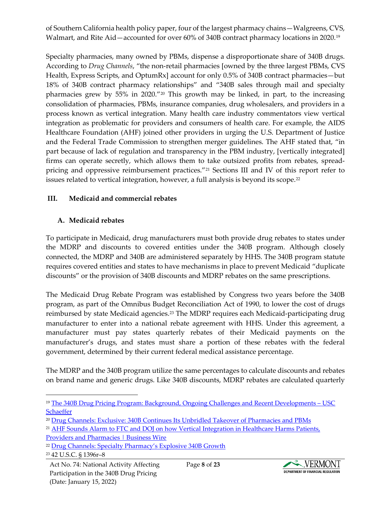of Southern California health policy paper, four of the largest pharmacy chains—Walgreens, CVS, Walmart, and Rite Aid—accounted for over 60% of 340B contract pharmacy locations in 2020.<sup>[19](#page-7-0)</sup>

Specialty pharmacies, many owned by PBMs, dispense a disproportionate share of 340B drugs. According to *Drug Channels*, "the non-retail pharmacies [owned by the three largest PBMs, CVS Health, Express Scripts, and OptumRx] account for only 0.5% of 340B contract pharmacies—but 18% of 340B contract pharmacy relationships" and "340B sales through mail and specialty pharmacies grew by 55% in 2020."[20](#page-7-1) This growth may be linked, in part, to the increasing consolidation of pharmacies, PBMs, insurance companies, drug wholesalers, and providers in a process known as vertical integration. Many health care industry commentators view vertical integration as problematic for providers and consumers of health care. For example, the AIDS Healthcare Foundation (AHF) joined other providers in urging the U.S. Department of Justice and the Federal Trade Commission to strengthen merger guidelines. The AHF stated that, "in part because of lack of regulation and transparency in the PBM industry, [vertically integrated] firms can operate secretly, which allows them to take outsized profits from rebates, spread-pricing and oppressive reimbursement practices."<sup>[21](#page-7-2)</sup> Sections III and IV of this report refer to issues related to vertical integration, however, a full analysis is beyond its scope.<sup>[22](#page-7-3)</sup>

#### **III. Medicaid and commercial rebates**

#### **A. Medicaid rebates**

To participate in Medicaid, drug manufacturers must both provide drug rebates to states under the MDRP and discounts to covered entities under the 340B program. Although closely connected, the MDRP and 340B are administered separately by HHS. The 340B program statute requires covered entities and states to have mechanisms in place to prevent Medicaid "duplicate discounts" or the provision of 340B discounts and MDRP rebates on the same prescriptions.

The Medicaid Drug Rebate Program was established by Congress two years before the 340B program, as part of the Omnibus Budget Reconciliation Act of 1990, to lower the cost of drugs reimbursed by state Medicaid agencies.<sup>[23](#page-7-4)</sup> The MDRP requires each Medicaid-participating drug manufacturer to enter into a national rebate agreement with HHS. Under this agreement, a manufacturer must pay states quarterly rebates of their Medicaid payments on the manufacturer's drugs, and states must share a portion of these rebates with the federal government, determined by their current federal medical assistance percentage.

The MDRP and the 340B program utilize the same percentages to calculate discounts and rebates on brand name and generic drugs. Like 340B discounts, MDRP rebates are calculated quarterly



<span id="page-7-0"></span><sup>19</sup> [The 340B Drug Pricing Program: Background, Ongoing Challenges and Recent Developments –](https://healthpolicy.usc.edu/research/the-340b-drug-pricing-program-background-ongoing-challenges-and-recent-developments/) USC **[Schaeffer](https://healthpolicy.usc.edu/research/the-340b-drug-pricing-program-background-ongoing-challenges-and-recent-developments/)** 

<span id="page-7-1"></span><sup>20</sup> [Drug Channels: Exclusive: 340B Continues Its Unbridled Takeover of Pharmacies and PBMs](https://www.drugchannels.net/2021/06/exclusive-340b-continues-its-unbridled.html)

<span id="page-7-2"></span><sup>&</sup>lt;sup>21</sup> AHF Sounds Alarm to FTC and DOJ on how Vertical Integration in Healthcare Harms Patients, [Providers and Pharmacies | Business Wire](https://www.businesswire.com/news/home/20200226006057/en/AHF-Sounds-Alarm-to-FTC-and-DOJ-on-how-Vertical-Integration-in-Healthcare-Harms-Patients-Providers-and-Pharmacies)

<span id="page-7-3"></span><sup>&</sup>lt;sup>22</sup> [Drug Channels: Specialty Pharmacy's Explosive 340B Growth](https://www.drugchannels.net/2021/07/specialty-pharmacys-explosive-340b.html)

<span id="page-7-4"></span><sup>23</sup> 42 U.S.C. § 1396r–8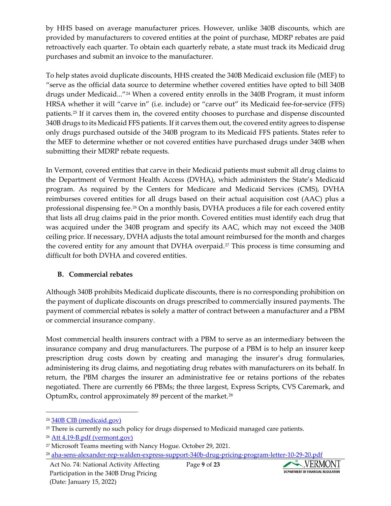by HHS based on average manufacturer prices. However, unlike 340B discounts, which are provided by manufacturers to covered entities at the point of purchase, MDRP rebates are paid retroactively each quarter. To obtain each quarterly rebate, a state must track its Medicaid drug purchases and submit an invoice to the manufacturer.

To help states avoid duplicate discounts, HHS created the 340B Medicaid exclusion file (MEF) to "serve as the official data source to determine whether covered entities have opted to bill 340B drugs under Medicaid..."[24](#page-8-0) When a covered entity enrolls in the 340B Program, it must inform HRSA whether it will "carve in" (i.e. include) or "carve out" its Medicaid fee-for-service (FFS) patients.[25](#page-8-1) If it carves them in, the covered entity chooses to purchase and dispense discounted 340B drugs to its Medicaid FFS patients. If it carves them out, the covered entity agrees to dispense only drugs purchased outside of the 340B program to its Medicaid FFS patients. States refer to the MEF to determine whether or not covered entities have purchased drugs under 340B when submitting their MDRP rebate requests.

In Vermont, covered entities that carve in their Medicaid patients must submit all drug claims to the Department of Vermont Health Access (DVHA), which administers the State's Medicaid program. As required by the Centers for Medicare and Medicaid Services (CMS), DVHA reimburses covered entities for all drugs based on their actual acquisition cost (AAC) plus a professional dispensing fee.[26](#page-8-2) On a monthly basis, DVHA produces a file for each covered entity that lists all drug claims paid in the prior month. Covered entities must identify each drug that was acquired under the 340B program and specify its AAC, which may not exceed the 340B ceiling price. If necessary, DVHA adjusts the total amount reimbursed for the month and charges the covered entity for any amount that DVHA overpaid.<sup>[27](#page-8-3)</sup> This process is time consuming and difficult for both DVHA and covered entities.

## **B. Commercial rebates**

Although 340B prohibits Medicaid duplicate discounts, there is no corresponding prohibition on the payment of duplicate discounts on drugs prescribed to commercially insured payments. The payment of commercial rebates is solely a matter of contract between a manufacturer and a PBM or commercial insurance company.

Most commercial health insurers contract with a PBM to serve as an intermediary between the insurance company and drug manufacturers. The purpose of a PBM is to help an insurer keep prescription drug costs down by creating and managing the insurer's drug formularies, administering its drug claims, and negotiating drug rebates with manufacturers on its behalf. In return, the PBM charges the insurer an administrative fee or retains portions of the rebates negotiated. There are currently 66 PBMs; the three largest, Express Scripts, CVS Caremark, and OptumRx, control approximately 89 percent of the market.[28](#page-8-4)



<span id="page-8-0"></span><sup>24</sup> [340B CIB \(medicaid.gov\)](https://www.medicaid.gov/sites/default/files/Federal-Policy-Guidance/Downloads/cib010820.pdf)

<span id="page-8-1"></span><sup>&</sup>lt;sup>25</sup> There is currently no such policy for drugs dispensed to Medicaid managed care patients.

<span id="page-8-2"></span><sup>26</sup> [Att 4.19-B.pdf \(vermont.gov\)](https://humanservices.vermont.gov/sites/ahsnew/files/documents/MedicaidPolicy/MedicaidStatePlan/Att%204.19-B.pdf)

<span id="page-8-3"></span><sup>&</sup>lt;sup>27</sup> Microsoft Teams meeting with Nancy Hogue. October 29, 2021.

<span id="page-8-4"></span><sup>28</sup> [aha-sens-alexander-rep-walden-express-support-340b-drug-pricing-program-letter-10-29-20.pdf](https://www.aha.org/system/files/media/file/2020/10/aha-sens-alexander-rep-walden-express-support-340b-drug-pricing-program-letter-10-29-20.pdf)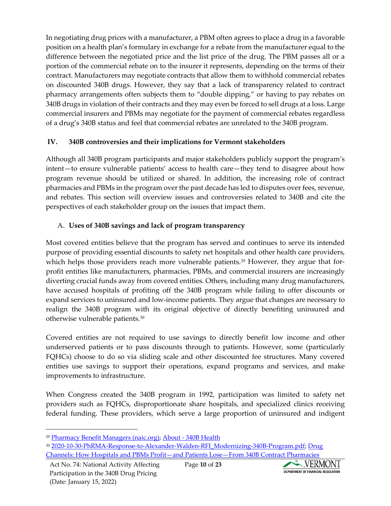In negotiating drug prices with a manufacturer, a PBM often agrees to place a drug in a favorable position on a health plan's formulary in exchange for a rebate from the manufacturer equal to the difference between the negotiated price and the list price of the drug. The PBM passes all or a portion of the commercial rebate on to the insurer it represents, depending on the terms of their contract. Manufacturers may negotiate contracts that allow them to withhold commercial rebates on discounted 340B drugs. However, they say that a lack of transparency related to contract pharmacy arrangements often subjects them to "double dipping," or having to pay rebates on 340B drugs in violation of their contracts and they may even be forced to sell drugs at a loss. Large commercial insurers and PBMs may negotiate for the payment of commercial rebates regardless of a drug's 340B status and feel that commercial rebates are unrelated to the 340B program.

## **IV. 340B controversies and their implications for Vermont stakeholders**

Although all 340B program participants and major stakeholders publicly support the program's intent—to ensure vulnerable patients' access to health care—they tend to disagree about how program revenue should be utilized or shared. In addition, the increasing role of contract pharmacies and PBMs in the program over the past decade has led to disputes over fees, revenue, and rebates. This section will overview issues and controversies related to 340B and cite the perspectives of each stakeholder group on the issues that impact them.

## A. **Uses of 340B savings and lack of program transparency**

Most covered entities believe that the program has served and continues to serve its intended purpose of providing essential discounts to safety net hospitals and other health care providers, which helps those providers reach more vulnerable patients.<sup>[29](#page-9-0)</sup> However, they argue that forprofit entities like manufacturers, pharmacies, PBMs, and commercial insurers are increasingly diverting crucial funds away from covered entities. Others, including many drug manufacturers, have accused hospitals of profiting off the 340B program while failing to offer discounts or expand services to uninsured and low-income patients. They argue that changes are necessary to realign the 340B program with its original objective of directly benefiting uninsured and otherwise vulnerable patients.[30](#page-9-1)

Covered entities are not required to use savings to directly benefit low income and other underserved patients or to pass discounts through to patients. However, some (particularly FQHCs) choose to do so via sliding scale and other discounted fee structures. Many covered entities use savings to support their operations, expand programs and services, and make improvements to infrastructure.

When Congress created the 340B program in 1992, participation was limited to safety net providers such as FQHCs, disproportionate share hospitals, and specialized clinics receiving federal funding. These providers, which serve a large proportion of uninsured and indigent



<span id="page-9-0"></span><sup>29</sup> [Pharmacy Benefit Managers \(naic.org\);](https://content.naic.org/cipr_topics/topic_pharmacy_benefit_managers.htm) About - [340B Health](https://www.340bhealth.org/about/)

<span id="page-9-1"></span><sup>&</sup>lt;sup>30</sup> [2020-10-30-PhRMA-Response-to-Alexander-Walden-RFI\\_Modernizing-340B-Program.pdf;](https://phrma.org/-/media/Project/PhRMA/PhRMA-Org/PhRMA-Org/PDF/0-9/2020-10-30-PhRMA-Response-to-Alexander-Walden-RFI_Modernizing-340B-Program.pdf) Drug [Channels: How Hospitals and PBMs Profit—and Patients Lose—From 340B Contract Pharmacies](https://www.drugchannels.net/2020/07/how-hospitals-and-pbms-profitand.html)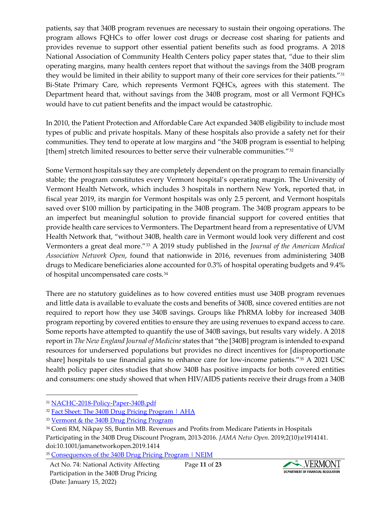patients, say that 340B program revenues are necessary to sustain their ongoing operations. The program allows FQHCs to offer lower cost drugs or decrease cost sharing for patients and provides revenue to support other essential patient benefits such as food programs. A 2018 National Association of Community Health Centers policy paper states that, "due to their slim operating margins, many health centers report that without the savings from the 340B program they would be limited in their ability to support many of their core services for their patients."[31](#page-10-0) Bi-State Primary Care, which represents Vermont FQHCs, agrees with this statement. The Department heard that, without savings from the 340B program, most or all Vermont FQHCs would have to cut patient benefits and the impact would be catastrophic.

In 2010, the Patient Protection and Affordable Care Act expanded 340B eligibility to include most types of public and private hospitals. Many of these hospitals also provide a safety net for their communities. They tend to operate at low margins and "the 340B program is essential to helping [them] stretch limited resources to better serve their vulnerable communities."[32](#page-10-1)

Some Vermont hospitals say they are completely dependent on the program to remain financially stable; the program constitutes every Vermont hospital's operating margin. The University of Vermont Health Network, which includes 3 hospitals in northern New York, reported that, in fiscal year 2019, its margin for Vermont hospitals was only 2.5 percent, and Vermont hospitals saved over \$100 million by participating in the 340B program. The 340B program appears to be an imperfect but meaningful solution to provide financial support for covered entities that provide health care services to Vermonters. The Department heard from a representative of UVM Health Network that, "without 340B, health care in Vermont would look very different and cost Vermonters a great deal more."[33](#page-10-2) A 2019 study published in the *Journal of the American Medical Association Network Open*, found that nationwide in 2016, revenues from administering 340B drugs to Medicare beneficiaries alone accounted for 0.3% of hospital operating budgets and 9.4% of hospital uncompensated care costs.[34](#page-10-3)

There are no statutory guidelines as to how covered entities must use 340B program revenues and little data is available to evaluate the costs and benefits of 340B, since covered entities are not required to report how they use 340B savings. Groups like PhRMA lobby for increased 340B program reporting by covered entities to ensure they are using revenues to expand access to care. Some reports have attempted to quantify the use of 340B savings, but results vary widely. A 2018 report in *The New England Journal of Medicine* states that "the [340B] program is intended to expand resources for underserved populations but provides no direct incentives for [disproportionate share] hospitals to use financial gains to enhance care for low-income patients."[35](#page-10-4) A 2021 USC health policy paper cites studies that show 340B has positive impacts for both covered entities and consumers: one study showed that when HIV/AIDS patients receive their drugs from a 340B

Act No. 74: National Activity Affecting Participation in the 340B Drug Pricing (Date: January 15, 2022)



<span id="page-10-0"></span><sup>&</sup>lt;sup>31</sup> [NACHC-2018-Policy-Paper-340B.pdf](https://www.nachc.org/wp-content/uploads/2018/03/NACHC-2018-Policy-Paper-340B.pdf)

<span id="page-10-1"></span><sup>&</sup>lt;sup>32</sup> [Fact Sheet: The 340B Drug Pricing Program | AHA](https://www.aha.org/fact-sheets/2020-01-28-fact-sheet-340b-drug-pricing-program#:%7E:text=The%20340B%20program%20is%20essential,better%20serve%20their%20vulnerable%20communities.&text=Supports%20expanding%20the%20program%20to,provide%20care%20for%20underserved%20populations.)

<span id="page-10-2"></span><sup>33</sup> [Vermont & the 340B Drug Pricing Program](https://gmcboard.vermont.gov/sites/gmcb/files/documents/340B%20Intro%20for%20GMCB%20Technical%20Advisory%20Group.pdf)

<span id="page-10-3"></span><sup>34</sup> Conti RM, Nikpay SS, Buntin MB. Revenues and Profits from Medicare Patients in Hospitals Participating in the 340B Drug Discount Program, 2013-2016. *JAMA Netw Open.* 2019;2(10):e1914141. doi:10.1001/jamanetworkopen.2019.1414

<span id="page-10-4"></span><sup>&</sup>lt;sup>35</sup> [Consequences of the 340B Drug Pricing Program | NEJM](https://www.nejm.org/doi/full/10.1056/nejmsa1706475)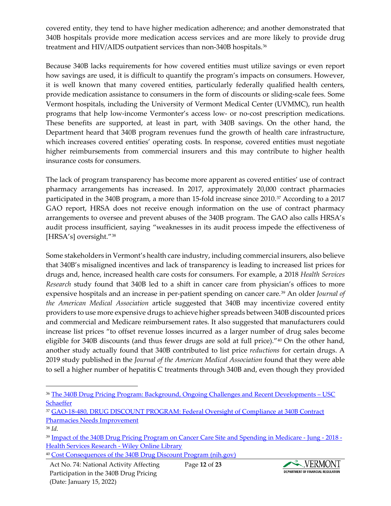covered entity, they tend to have higher medication adherence; and another demonstrated that 340B hospitals provide more medication access services and are more likely to provide drug treatment and HIV/AIDS outpatient services than non-340B hospitals.[36](#page-11-0)

Because 340B lacks requirements for how covered entities must utilize savings or even report how savings are used, it is difficult to quantify the program's impacts on consumers. However, it is well known that many covered entities, particularly federally qualified health centers, provide medication assistance to consumers in the form of discounts or sliding-scale fees. Some Vermont hospitals, including the University of Vermont Medical Center (UVMMC), run health programs that help low-income Vermonter's access low- or no-cost prescription medications. These benefits are supported, at least in part, with 340B savings. On the other hand, the Department heard that 340B program revenues fund the growth of health care infrastructure, which increases covered entities' operating costs. In response, covered entities must negotiate higher reimbursements from commercial insurers and this may contribute to higher health insurance costs for consumers.

The lack of program transparency has become more apparent as covered entities' use of contract pharmacy arrangements has increased. In 2017, approximately 20,000 contract pharmacies participated in the 340B program, a more than 15-fold increase since 2010.<sup>[37](#page-11-1)</sup> According to a 2017 GAO report, HRSA does not receive enough information on the use of contract pharmacy arrangements to oversee and prevent abuses of the 340B program. The GAO also calls HRSA's audit process insufficient, saying "weaknesses in its audit process impede the effectiveness of [HRSA's] oversight."[38](#page-11-2)

Some stakeholders in Vermont's health care industry, including commercial insurers, also believe that 340B's misaligned incentives and lack of transparency is leading to increased list prices for drugs and, hence, increased health care costs for consumers. For example, a 2018 *Health Services Research* study found that 340B led to a shift in cancer care from physician's offices to more expensive hospitals and an increase in per-patient spending on cancer care.[39](#page-11-3) An older *Journal of the American Medical Association* article suggested that 340B may incentivize covered entity providers to use more expensive drugs to achieve higher spreads between 340B discounted prices and commercial and Medicare reimbursement rates. It also suggested that manufacturers could increase list prices "to offset revenue losses incurred as a larger number of drug sales become eligible for 340B discounts (and thus fewer drugs are sold at full price)."[40](#page-11-4) On the other hand, another study actually found that 340B contributed to list price *reductions* for certain drugs. A 2019 study published in the *Journal of the American Medical Association* found that they were able to sell a higher number of hepatitis C treatments through 340B and, even though they provided

Act No. 74: National Activity Affecting Participation in the 340B Drug Pricing (Date: January 15, 2022)



<span id="page-11-0"></span><sup>36</sup> [The 340B Drug Pricing Program: Background, Ongoing Challenges and Recent Developments –](https://healthpolicy.usc.edu/research/the-340b-drug-pricing-program-background-ongoing-challenges-and-recent-developments/) USC **[Schaeffer](https://healthpolicy.usc.edu/research/the-340b-drug-pricing-program-background-ongoing-challenges-and-recent-developments/)** 

<span id="page-11-1"></span><sup>37</sup> [GAO-18-480, DRUG DISCOUNT PROGRAM: Federal Oversight of Compliance at 340B Contract](https://www.gao.gov/assets/gao-18-480.pdf)  [Pharmacies Needs Improvement](https://www.gao.gov/assets/gao-18-480.pdf)

<span id="page-11-2"></span><sup>38</sup> *Id.*

<span id="page-11-3"></span><sup>39</sup> [Impact of the 340B Drug Pricing Program on Cancer Care Site and Spending in Medicare -](https://onlinelibrary.wiley.com/doi/abs/10.1111/1475-6773.12823) Jung - 2018 - [Health Services Research -](https://onlinelibrary.wiley.com/doi/abs/10.1111/1475-6773.12823) Wiley Online Library

<span id="page-11-4"></span><sup>40</sup> [Cost Consequences of the 340B Drug Discount Program \(nih.gov\)](https://www.ncbi.nlm.nih.gov/pmc/articles/PMC4036617/)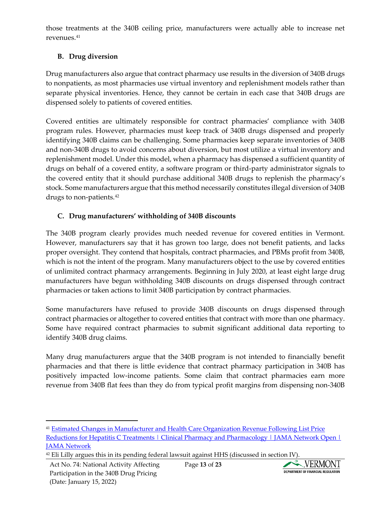those treatments at the 340B ceiling price, manufacturers were actually able to increase net revenues.[41](#page-12-0)

## **B. Drug diversion**

Drug manufacturers also argue that contract pharmacy use results in the diversion of 340B drugs to nonpatients, as most pharmacies use virtual inventory and replenishment models rather than separate physical inventories. Hence, they cannot be certain in each case that 340B drugs are dispensed solely to patients of covered entities.

Covered entities are ultimately responsible for contract pharmacies' compliance with 340B program rules. However, pharmacies must keep track of 340B drugs dispensed and properly identifying 340B claims can be challenging. Some pharmacies keep separate inventories of 340B and non-340B drugs to avoid concerns about diversion, but most utilize a virtual inventory and replenishment model. Under this model, when a pharmacy has dispensed a sufficient quantity of drugs on behalf of a covered entity, a software program or third-party administrator signals to the covered entity that it should purchase additional 340B drugs to replenish the pharmacy's stock. Some manufacturers argue that this method necessarily constitutes illegal diversion of 340B drugs to non-patients.<sup>[42](#page-12-1)</sup>

## **C. Drug manufacturers' withholding of 340B discounts**

The 340B program clearly provides much needed revenue for covered entities in Vermont. However, manufacturers say that it has grown too large, does not benefit patients, and lacks proper oversight. They contend that hospitals, contract pharmacies, and PBMs profit from 340B, which is not the intent of the program. Many manufacturers object to the use by covered entities of unlimited contract pharmacy arrangements. Beginning in July 2020, at least eight large drug manufacturers have begun withholding 340B discounts on drugs dispensed through contract pharmacies or taken actions to limit 340B participation by contract pharmacies.

Some manufacturers have refused to provide 340B discounts on drugs dispensed through contract pharmacies or altogether to covered entities that contract with more than one pharmacy. Some have required contract pharmacies to submit significant additional data reporting to identify 340B drug claims.

Many drug manufacturers argue that the 340B program is not intended to financially benefit pharmacies and that there is little evidence that contract pharmacy participation in 340B has positively impacted low-income patients. Some claim that contract pharmacies earn more revenue from 340B flat fees than they do from typical profit margins from dispensing non-340B



<span id="page-12-0"></span><sup>41</sup> Estimated Changes in Manufacturer and Health Care Organization Revenue Following List Price Reductions for Hepatitis C Treatments | Clinical Pharmacy and Pharmacology | JAMA Network Open | **[JAMA Network](https://jamanetwork.com/journals/jamanetworkopen/fullarticle/2737308)** 

<span id="page-12-1"></span> $42$  Eli Lilly argues this in its pending federal lawsuit against HHS (discussed in section IV).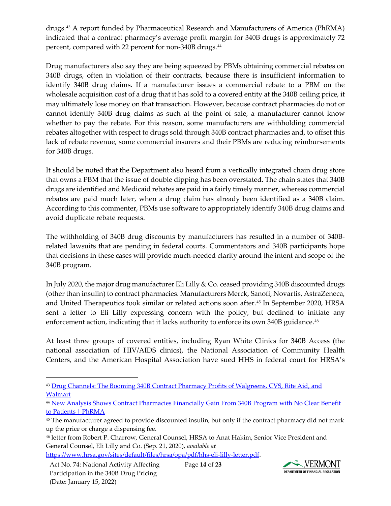drugs.[43](#page-13-0) A report funded by Pharmaceutical Research and Manufacturers of America (PhRMA) indicated that a contract pharmacy's average profit margin for 340B drugs is approximately 72 percent, compared with 22 percent for non-340B drugs.<sup>[44](#page-13-1)</sup>

Drug manufacturers also say they are being squeezed by PBMs obtaining commercial rebates on 340B drugs, often in violation of their contracts, because there is insufficient information to identify 340B drug claims. If a manufacturer issues a commercial rebate to a PBM on the wholesale acquisition cost of a drug that it has sold to a covered entity at the 340B ceiling price, it may ultimately lose money on that transaction. However, because contract pharmacies do not or cannot identify 340B drug claims as such at the point of sale, a manufacturer cannot know whether to pay the rebate. For this reason, some manufacturers are withholding commercial rebates altogether with respect to drugs sold through 340B contract pharmacies and, to offset this lack of rebate revenue, some commercial insurers and their PBMs are reducing reimbursements for 340B drugs.

It should be noted that the Department also heard from a vertically integrated chain drug store that owns a PBM that the issue of double dipping has been overstated. The chain states that 340B drugs are identified and Medicaid rebates are paid in a fairly timely manner, whereas commercial rebates are paid much later, when a drug claim has already been identified as a 340B claim. According to this commenter, PBMs use software to appropriately identify 340B drug claims and avoid duplicate rebate requests.

The withholding of 340B drug discounts by manufacturers has resulted in a number of 340Brelated lawsuits that are pending in federal courts. Commentators and 340B participants hope that decisions in these cases will provide much-needed clarity around the intent and scope of the 340B program.

In July 2020, the major drug manufacturer Eli Lilly & Co. ceased providing 340B discounted drugs (other than insulin) to contract pharmacies. Manufacturers Merck, Sanofi, Novartis, AstraZeneca, and United Therapeutics took similar or related actions soon after.[45](#page-13-2) In September 2020, HRSA sent a letter to Eli Lilly expressing concern with the policy, but declined to initiate any enforcement action, indicating that it lacks authority to enforce its own 340B guidance.[46](#page-13-3)

At least three groups of covered entities, including Ryan White Clinics for 340B Access (the national association of HIV/AIDS clinics), the National Association of Community Health Centers, and the American Hospital Association have sued HHS in federal court for HRSA's



<span id="page-13-0"></span><sup>43</sup> Drug Channels: The Booming 340B Contract Pharmacy Profits of Walgreens, CVS, Rite Aid, and [Walmart](https://www.drugchannels.net/2017/07/the-booming-340b-contract-pharmacy.html)

<span id="page-13-1"></span><sup>44</sup> [New Analysis Shows Contract Pharmacies Financially Gain From 340B Program with](https://phrma.org/resource-center/Topics/340B/New-Analysis-Shows-Contract-Pharmacies-Financially-Gain-From-340B-Program-With-No-Clear-Benefit-to-Patients) No Clear Benefit [to Patients | PhRMA](https://phrma.org/resource-center/Topics/340B/New-Analysis-Shows-Contract-Pharmacies-Financially-Gain-From-340B-Program-With-No-Clear-Benefit-to-Patients)

<span id="page-13-2"></span><sup>45</sup> The manufacturer agreed to provide discounted insulin, but only if the contract pharmacy did not mark up the price or charge a dispensing fee.

<span id="page-13-3"></span><sup>46</sup> letter from Robert P. Charrow, General Counsel, HRSA to Anat Hakim, Senior Vice President and General Counsel, Eli Lilly and Co. (Sep. 21, 2020), *available at*

[https://www.hrsa.gov/sites/default/files/hrsa/opa/pdf/hhs-eli-lilly-letter.pdf.](https://www.hrsa.gov/sites/default/files/hrsa/opa/pdf/hhs-eli-lilly-letter.pdf)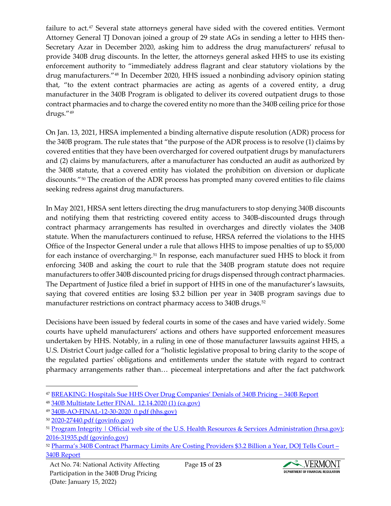failure to act.<sup>[47](#page-14-0)</sup> Several state attorneys general have sided with the covered entities. Vermont Attorney General TJ Donovan joined a group of 29 state AGs in sending a letter to HHS then-Secretary Azar in December 2020, asking him to address the drug manufacturers' refusal to provide 340B drug discounts. In the letter, the attorneys general asked HHS to use its existing enforcement authority to "immediately address flagrant and clear statutory violations by the drug manufacturers."[48](#page-14-1) In December 2020, HHS issued a nonbinding advisory opinion stating that, "to the extent contract pharmacies are acting as agents of a covered entity, a drug manufacturer in the 340B Program is obligated to deliver its covered outpatient drugs to those contract pharmacies and to charge the covered entity no more than the 340B ceiling price for those drugs."[49](#page-14-2)

On Jan. 13, 2021, HRSA implemented a binding alternative dispute resolution (ADR) process for the 340B program. The rule states that "the purpose of the ADR process is to resolve (1) claims by covered entities that they have been overcharged for covered outpatient drugs by manufacturers and (2) claims by manufacturers, after a manufacturer has conducted an audit as authorized by the 340B statute, that a covered entity has violated the prohibition on diversion or duplicate discounts."[50](#page-14-3) The creation of the ADR process has prompted many covered entities to file claims seeking redress against drug manufacturers.

In May 2021, HRSA sent letters directing the drug manufacturers to stop denying 340B discounts and notifying them that restricting covered entity access to 340B-discounted drugs through contract pharmacy arrangements has resulted in overcharges and directly violates the 340B statute. When the manufacturers continued to refuse, HRSA referred the violations to the HHS Office of the Inspector General under a rule that allows HHS to impose penalties of up to \$5,000 for each instance of overcharging.[51](#page-14-4) In response, each manufacturer sued HHS to block it from enforcing 340B and asking the court to rule that the 340B program statute does not require manufacturers to offer 340B discounted pricing for drugs dispensed through contract pharmacies. The Department of Justice filed a brief in support of HHS in one of the manufacturer's lawsuits, saying that covered entities are losing \$3.2 billion per year in 340B program savings due to manufacturer restrictions on contract pharmacy access to 340B drugs.<sup>[52](#page-14-5)</sup>

Decisions have been issued by federal courts in some of the cases and have varied widely. Some courts have upheld manufacturers' actions and others have supported enforcement measures undertaken by HHS. Notably, in a ruling in one of those manufacturer lawsuits against HHS, a U.S. District Court judge called for a "holistic legislative proposal to bring clarity to the scope of the regulated parties' obligations and entitlements under the statute with regard to contract pharmacy arrangements rather than… piecemeal interpretations and after the fact patchwork



<span id="page-14-0"></span><sup>47</sup> [BREAKING: Hospitals Sue HHS Over Drug Companies' Denials of 340B Pricing –](https://340breport.com/breaking-hospitals-sue-hhs-over-drug/) 340B Report

<span id="page-14-1"></span><sup>48</sup> [340B Multistate Letter FINAL\\_12.14.2020 \(1\) \(ca.gov\)](https://oag.ca.gov/sites/default/files/340B%20Multistate%20Letter%2012.14.2020_FINAL%5B1%5D.pdf)

<span id="page-14-2"></span><sup>49</sup> [340B-AO-FINAL-12-30-2020\\_0.pdf \(hhs.gov\)](https://www.hhs.gov/guidance/sites/default/files/hhs-guidance-documents/340B-AO-FINAL-12-30-2020_0.pdf)

<span id="page-14-3"></span><sup>50</sup> [2020-27440.pdf \(govinfo.gov\)](https://www.govinfo.gov/content/pkg/FR-2020-12-14/pdf/2020-27440.pdf)

<span id="page-14-4"></span><sup>51</sup> Program Integrity | Official web site of the U.S. Health Resources & Services Administration (hrsa.gov); [2016-31935.pdf \(govinfo.gov\)](https://www.govinfo.gov/content/pkg/FR-2017-01-05/pdf/2016-31935.pdf)

<span id="page-14-5"></span><sup>52</sup> [Pharma's 340B Contract Pharmacy Limits Are Costing Providers \\$3.2 Billion a Year, DOJ Tells Court –](https://340breport.com/pharmas-340b-contract-pharmacy-limits-are-costing-providers-3-2-billion-a-year-doj-tells-court/) [340B Report](https://340breport.com/pharmas-340b-contract-pharmacy-limits-are-costing-providers-3-2-billion-a-year-doj-tells-court/)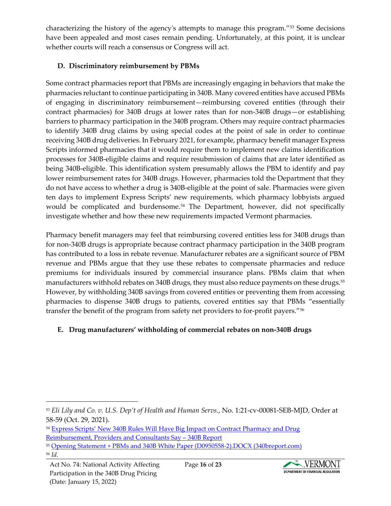characterizing the history of the agency's attempts to manage this program."[53](#page-15-0) Some decisions have been appealed and most cases remain pending. Unfortunately, at this point, it is unclear whether courts will reach a consensus or Congress will act.

#### **D. Discriminatory reimbursement by PBMs**

Some contract pharmacies report that PBMs are increasingly engaging in behaviors that make the pharmacies reluctant to continue participating in 340B. Many covered entities have accused PBMs of engaging in discriminatory reimbursement—reimbursing covered entities (through their contract pharmacies) for 340B drugs at lower rates than for non-340B drugs—or establishing barriers to pharmacy participation in the 340B program. Others may require contract pharmacies to identify 340B drug claims by using special codes at the point of sale in order to continue receiving 340B drug deliveries. In February 2021, for example, pharmacy benefit manager Express Scripts informed pharmacies that it would require them to implement new claims identification processes for 340B-eligible claims and require resubmission of claims that are later identified as being 340B-eligible. This identification system presumably allows the PBM to identify and pay lower reimbursement rates for 340B drugs. However, pharmacies told the Department that they do not have access to whether a drug is 340B-eligible at the point of sale. Pharmacies were given ten days to implement Express Scripts' new requirements, which pharmacy lobbyists argued would be complicated and burdensome.<sup>[54](#page-15-1)</sup> The Department, however, did not specifically investigate whether and how these new requirements impacted Vermont pharmacies.

Pharmacy benefit managers may feel that reimbursing covered entities less for 340B drugs than for non-340B drugs is appropriate because contract pharmacy participation in the 340B program has contributed to a loss in rebate revenue. Manufacturer rebates are a significant source of PBM revenue and PBMs argue that they use these rebates to compensate pharmacies and reduce premiums for individuals insured by commercial insurance plans. PBMs claim that when manufacturers withhold rebates on 340B drugs, they must also reduce payments on these drugs.[55](#page-15-2) However, by withholding 340B savings from covered entities or preventing them from accessing pharmacies to dispense 340B drugs to patients, covered entities say that PBMs "essentially transfer the benefit of the program from safety net providers to for-profit payers."[56](#page-15-3)

## **E. Drug manufacturers' withholding of commercial rebates on non-340B drugs**



<span id="page-15-0"></span><sup>53</sup> *Eli Lily and Co. v. U.S. Dep't of Health and Human Servs.*, No. 1:21-cv-00081-SEB-MJD, Order at 58-59 (Oct. 29, 2021).

<span id="page-15-1"></span><sup>&</sup>lt;sup>54</sup> Express Scripts' New 340B Rules Will Have Big Impact on Contract Pharmacy and Drug [Reimbursement, Providers and Consultants Say –](https://340breport.com/express-scripts-new-340b-rules-will-have-big-impact-on-contract-pharmacy-and-drug-reimbursement-providers-and-consultants-say/) 340B Report

<span id="page-15-3"></span><span id="page-15-2"></span><sup>55</sup> [Opening Statement + PBMs and 340B White Paper \(D0950558-2\).DOCX \(340breport.com\)](https://340breport.com/wp-content/uploads/2021/06/PBMs-and-340B-White-Paper-June-29-2021.pdf) <sup>56</sup> *Id.*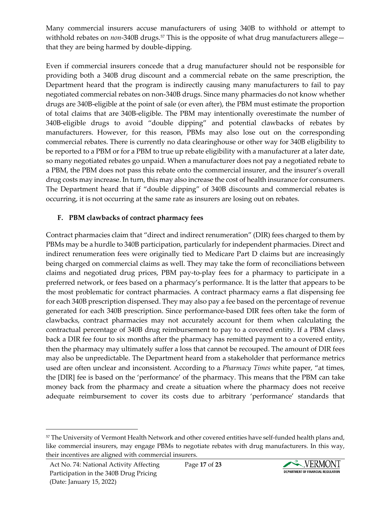Many commercial insurers accuse manufacturers of using 340B to withhold or attempt to withhold rebates on *non*-340B drugs.<sup>[57](#page-16-0)</sup> This is the opposite of what drug manufacturers allegethat they are being harmed by double-dipping.

Even if commercial insurers concede that a drug manufacturer should not be responsible for providing both a 340B drug discount and a commercial rebate on the same prescription, the Department heard that the program is indirectly causing many manufacturers to fail to pay negotiated commercial rebates on non-340B drugs. Since many pharmacies do not know whether drugs are 340B-eligible at the point of sale (or even after), the PBM must estimate the proportion of total claims that are 340B-eligible. The PBM may intentionally overestimate the number of 340B-eligible drugs to avoid "double dipping" and potential clawbacks of rebates by manufacturers. However, for this reason, PBMs may also lose out on the corresponding commercial rebates. There is currently no data clearinghouse or other way for 340B eligibility to be reported to a PBM or for a PBM to true up rebate eligibility with a manufacturer at a later date, so many negotiated rebates go unpaid. When a manufacturer does not pay a negotiated rebate to a PBM, the PBM does not pass this rebate onto the commercial insurer, and the insurer's overall drug costs may increase. In turn, this may also increase the cost of health insurance for consumers. The Department heard that if "double dipping" of 340B discounts and commercial rebates is occurring, it is not occurring at the same rate as insurers are losing out on rebates.

## **F. PBM clawbacks of contract pharmacy fees**

Contract pharmacies claim that "direct and indirect renumeration" (DIR) fees charged to them by PBMs may be a hurdle to 340B participation, particularly for independent pharmacies. Direct and indirect renumeration fees were originally tied to Medicare Part D claims but are increasingly being charged on commercial claims as well. They may take the form of reconciliations between claims and negotiated drug prices, PBM pay-to-play fees for a pharmacy to participate in a preferred network, or fees based on a pharmacy's performance. It is the latter that appears to be the most problematic for contract pharmacies. A contract pharmacy earns a flat dispensing fee for each 340B prescription dispensed. They may also pay a fee based on the percentage of revenue generated for each 340B prescription. Since performance-based DIR fees often take the form of clawbacks, contract pharmacies may not accurately account for them when calculating the contractual percentage of 340B drug reimbursement to pay to a covered entity. If a PBM claws back a DIR fee four to six months after the pharmacy has remitted payment to a covered entity, then the pharmacy may ultimately suffer a loss that cannot be recouped. The amount of DIR fees may also be unpredictable. The Department heard from a stakeholder that performance metrics used are often unclear and inconsistent. According to a *Pharmacy Times* white paper, "at times, the [DIR] fee is based on the 'performance' of the pharmacy. This means that the PBM can take money back from the pharmacy and create a situation where the pharmacy does not receive adequate reimbursement to cover its costs due to arbitrary 'performance' standards that



<span id="page-16-0"></span><sup>57</sup> The University of Vermont Health Network and other covered entities have self-funded health plans and, like commercial insurers, may engage PBMs to negotiate rebates with drug manufacturers. In this way, their incentives are aligned with commercial insurers.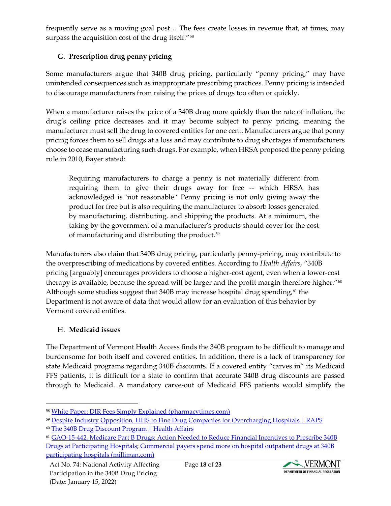frequently serve as a moving goal post… The fees create losses in revenue that, at times, may surpass the acquisition cost of the drug itself."<sup>[58](#page-17-0)</sup>

## **G. Prescription drug penny pricing**

Some manufacturers argue that 340B drug pricing, particularly "penny pricing," may have unintended consequences such as inappropriate prescribing practices. Penny pricing is intended to discourage manufacturers from raising the prices of drugs too often or quickly.

When a manufacturer raises the price of a 340B drug more quickly than the rate of inflation, the drug's ceiling price decreases and it may become subject to penny pricing, meaning the manufacturer must sell the drug to covered entities for one cent. Manufacturers argue that penny pricing forces them to sell drugs at a loss and may contribute to drug shortages if manufacturers choose to cease manufacturing such drugs. For example, when HRSA proposed the penny pricing rule in 2010, Bayer stated:

Requiring manufacturers to charge a penny is not materially different from requiring them to give their drugs away for free -- which HRSA has acknowledged is 'not reasonable.' Penny pricing is not only giving away the product for free but is also requiring the manufacturer to absorb losses generated by manufacturing, distributing, and shipping the products. At a minimum, the taking by the government of a manufacturer's products should cover for the cost of manufacturing and distributing the product.<sup>[59](#page-17-1)</sup>

Manufacturers also claim that 340B drug pricing, particularly penny-pricing, may contribute to the overprescribing of medications by covered entities. According to *Health Affairs*, "340B pricing [arguably] encourages providers to choose a higher-cost agent, even when a lower-cost therapy is available, because the spread will be larger and the profit margin therefore higher." $60$ Although some studies suggest that 340B may increase hospital drug spending,<sup>[61](#page-17-3)</sup> the Department is not aware of data that would allow for an evaluation of this behavior by Vermont covered entities.

#### H. **Medicaid issues**

The Department of Vermont Health Access finds the 340B program to be difficult to manage and burdensome for both itself and covered entities. In addition, there is a lack of transparency for state Medicaid programs regarding 340B discounts. If a covered entity "carves in" its Medicaid FFS patients, it is difficult for a state to confirm that accurate 340B drug discounts are passed through to Medicaid. A mandatory carve-out of Medicaid FFS patients would simplify the



<span id="page-17-0"></span><sup>58</sup> [White Paper: DIR Fees Simply Explained \(pharmacytimes.com\)](https://www.pharmacytimes.com/view/white-paper-dir-fees-simply-explained)

<span id="page-17-1"></span><sup>59</sup> [Despite Industry Opposition, HHS to Fine Drug Companies for Overcharging Hospitals | RAPS](https://www.raps.org/regulatory-focus%E2%84%A2/news-articles/2017/1/despite-industry-opposition,-hhs-to-fine-drug-companies-for-overcharging-hospitals)

<span id="page-17-2"></span><sup>&</sup>lt;sup>60</sup> [The 340B Drug Discount Program | Health Affairs](https://www.healthaffairs.org/do/10.1377/hpb20171024.663441/full/)

<span id="page-17-3"></span><sup>61</sup> [GAO-15-442, Medicare Part B Drugs: Action Needed to Reduce Financial](https://www.gao.gov/assets/gao-15-442.pdf) Incentives to Prescribe 340B [Drugs at Participating Hospitals;](https://www.gao.gov/assets/gao-15-442.pdf) [Commercial payers spend more on hospital outpatient drugs at 340B](https://www.milliman.com/-/media/milliman/importedfiles/uploadedfiles/insight/2018/commercial-payers-spend-more-hospital-outpatient-drugs-340b-hospitals.ashx)  [participating hospitals \(milliman.com\)](https://www.milliman.com/-/media/milliman/importedfiles/uploadedfiles/insight/2018/commercial-payers-spend-more-hospital-outpatient-drugs-340b-hospitals.ashx)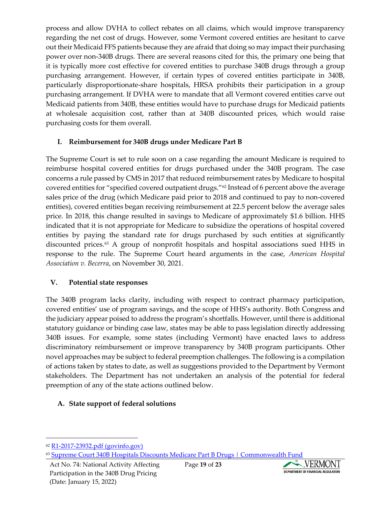process and allow DVHA to collect rebates on all claims, which would improve transparency regarding the net cost of drugs. However, some Vermont covered entities are hesitant to carve out their Medicaid FFS patients because they are afraid that doing so may impact their purchasing power over non-340B drugs. There are several reasons cited for this, the primary one being that it is typically more cost effective for covered entities to purchase 340B drugs through a group purchasing arrangement. However, if certain types of covered entities participate in 340B, particularly disproportionate-share hospitals, HRSA prohibits their participation in a group purchasing arrangement. If DVHA were to mandate that all Vermont covered entities carve out Medicaid patients from 340B, these entities would have to purchase drugs for Medicaid patients at wholesale acquisition cost, rather than at 340B discounted prices, which would raise purchasing costs for them overall.

#### **I. Reimbursement for 340B drugs under Medicare Part B**

The Supreme Court is set to rule soon on a case regarding the amount Medicare is required to reimburse hospital covered entities for drugs purchased under the 340B program. The case concerns a rule passed by CMS in 2017 that reduced reimbursement rates by Medicare to hospital covered entities for "specified covered outpatient drugs."[62](#page-18-0) Instead of 6 percent above the average sales price of the drug (which Medicare paid prior to 2018 and continued to pay to non-covered entities), covered entities began receiving reimbursement at 22.5 percent below the average sales price. In 2018, this change resulted in savings to Medicare of approximately \$1.6 billion. HHS indicated that it is not appropriate for Medicare to subsidize the operations of hospital covered entities by paying the standard rate for drugs purchased by such entities at significantly discounted prices.[63](#page-18-1) A group of nonprofit hospitals and hospital associations sued HHS in response to the rule. The Supreme Court heard arguments in the case, *American Hospital Association v. Becerra*, on November 30, 2021.

#### **V. Potential state responses**

The 340B program lacks clarity, including with respect to contract pharmacy participation, covered entities' use of program savings, and the scope of HHS's authority. Both Congress and the judiciary appear poised to address the program's shortfalls. However, until there is additional statutory guidance or binding case law, states may be able to pass legislation directly addressing 340B issues. For example, some states (including Vermont) have enacted laws to address discriminatory reimbursement or improve transparency by 340B program participants. Other novel approaches may be subject to federal preemption challenges. The following is a compilation of actions taken by states to date, as well as suggestions provided to the Department by Vermont stakeholders. The Department has not undertaken an analysis of the potential for federal preemption of any of the state actions outlined below.

## **A. State support of federal solutions**



<span id="page-18-0"></span><sup>62</sup> [R1-2017-23932.pdf \(govinfo.gov\)](https://www.govinfo.gov/content/pkg/FR-2017-12-14/pdf/R1-2017-23932.pdf#page=268)

<span id="page-18-1"></span><sup>63</sup> [Supreme Court 340B Hospitals Discounts Medicare Part B Drugs | Commonwealth Fund](https://www.commonwealthfund.org/blog/2021/supreme-court-340b-hospitals-discounts-medicare-part-b)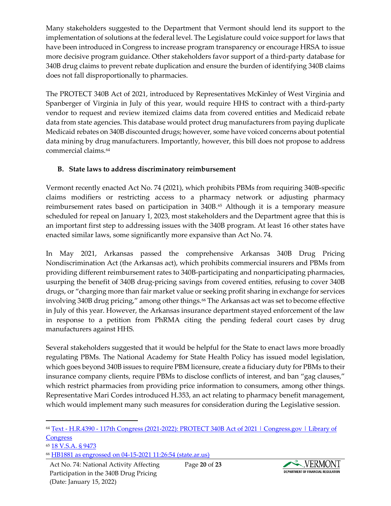Many stakeholders suggested to the Department that Vermont should lend its support to the implementation of solutions at the federal level. The Legislature could voice support for laws that have been introduced in Congress to increase program transparency or encourage HRSA to issue more decisive program guidance. Other stakeholders favor support of a third-party database for 340B drug claims to prevent rebate duplication and ensure the burden of identifying 340B claims does not fall disproportionally to pharmacies.

The PROTECT 340B Act of 2021, introduced by Representatives McKinley of West Virginia and Spanberger of Virginia in July of this year, would require HHS to contract with a third-party vendor to request and review itemized claims data from covered entities and Medicaid rebate data from state agencies. This database would protect drug manufacturers from paying duplicate Medicaid rebates on 340B discounted drugs; however, some have voiced concerns about potential data mining by drug manufacturers. Importantly, however, this bill does not propose to address commercial claims.[64](#page-19-0)

## **B. State laws to address discriminatory reimbursement**

Vermont recently enacted Act No. 74 (2021), which prohibits PBMs from requiring 340B-specific claims modifiers or restricting access to a pharmacy network or adjusting pharmacy reimbursement rates based on participation in 340B.[65](#page-19-1) Although it is a temporary measure scheduled for repeal on January 1, 2023, most stakeholders and the Department agree that this is an important first step to addressing issues with the 340B program. At least 16 other states have enacted similar laws, some significantly more expansive than Act No. 74.

In May 2021, Arkansas passed the comprehensive Arkansas 340B Drug Pricing Nondiscrimination Act (the Arkansas act), which prohibits commercial insurers and PBMs from providing different reimbursement rates to 340B-participating and nonparticipating pharmacies, usurping the benefit of 340B drug-pricing savings from covered entities, refusing to cover 340B drugs, or "charging more than fair market value or seeking profit sharing in exchange for services involving 340B drug pricing," among other things.<sup>[66](#page-19-2)</sup> The Arkansas act was set to become effective in July of this year. However, the Arkansas insurance department stayed enforcement of the law in response to a petition from PhRMA citing the pending federal court cases by drug manufacturers against HHS.

Several stakeholders suggested that it would be helpful for the State to enact laws more broadly regulating PBMs. The National Academy for State Health Policy has issued model legislation, which goes beyond 340B issues to require PBM licensure, create a fiduciary duty for PBMs to their insurance company clients, require PBMs to disclose conflicts of interest, and ban "gag clauses," which restrict pharmacies from providing price information to consumers, among other things. Representative Mari Cordes introduced H.353, an act relating to pharmacy benefit management, which would implement many such measures for consideration during the Legislative session.



<span id="page-19-0"></span><sup>64</sup> Text - H.R.4390 - [117th Congress \(2021-2022\): PROTECT 340B Act of 2021 | Congress.gov | Library of](https://www.congress.gov/bill/117th-congress/house-bill/4390/text)  **[Congress](https://www.congress.gov/bill/117th-congress/house-bill/4390/text)** 

<span id="page-19-1"></span><sup>65</sup> [18 V.S.A. § 9473](https://legislature.vermont.gov/statutes/section/18/221/09473)

<span id="page-19-2"></span><sup>66</sup> [HB1881 as engrossed on 04-15-2021 11:26:54 \(state.ar.us\)](https://www.arkleg.state.ar.us/Bills/FTPDocument?path=%2FBills%2F2021R%2FPublic%2FHB1881.pdf)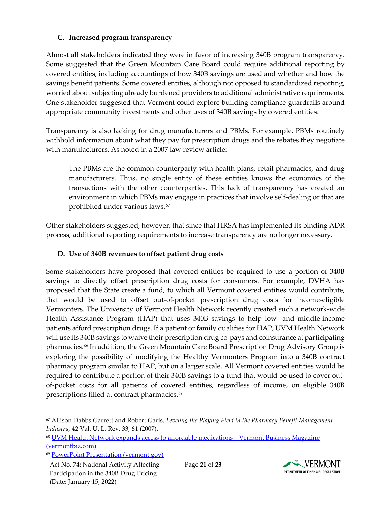## **C. Increased program transparency**

Almost all stakeholders indicated they were in favor of increasing 340B program transparency. Some suggested that the Green Mountain Care Board could require additional reporting by covered entities, including accountings of how 340B savings are used and whether and how the savings benefit patients. Some covered entities, although not opposed to standardized reporting, worried about subjecting already burdened providers to additional administrative requirements. One stakeholder suggested that Vermont could explore building compliance guardrails around appropriate community investments and other uses of 340B savings by covered entities.

Transparency is also lacking for drug manufacturers and PBMs. For example, PBMs routinely withhold information about what they pay for prescription drugs and the rebates they negotiate with manufacturers. As noted in a 2007 law review article:

The PBMs are the common counterparty with health plans, retail pharmacies, and drug manufacturers. Thus, no single entity of these entities knows the economics of the transactions with the other counterparties. This lack of transparency has created an environment in which PBMs may engage in practices that involve self-dealing or that are prohibited under various laws.<sup>67</sup>

Other stakeholders suggested, however, that since that HRSA has implemented its binding ADR process, additional reporting requirements to increase transparency are no longer necessary.

#### **D. Use of 340B revenues to offset patient drug costs**

Some stakeholders have proposed that covered entities be required to use a portion of 340B savings to directly offset prescription drug costs for consumers. For example, DVHA has proposed that the State create a fund, to which all Vermont covered entities would contribute, that would be used to offset out-of-pocket prescription drug costs for income-eligible Vermonters. The University of Vermont Health Network recently created such a network-wide Health Assistance Program (HAP) that uses 340B savings to help low- and middle-income patients afford prescription drugs. If a patient or family qualifies for HAP, UVM Health Network will use its 340B savings to waive their prescription drug co-pays and coinsurance at participating pharmacies.<sup>[68](#page-20-1)</sup> In addition, the Green Mountain Care Board Prescription Drug Advisory Group is exploring the possibility of modifying the Healthy Vermonters Program into a 340B contract pharmacy program similar to HAP, but on a larger scale. All Vermont covered entities would be required to contribute a portion of their 340B savings to a fund that would be used to cover outof-pocket costs for all patients of covered entities, regardless of income, on eligible 340B prescriptions filled at contract pharmacies.<sup>[69](#page-20-2)</sup>

<span id="page-20-1"></span><sup>68</sup> [UVM Health Network expands access to affordable medications | Vermont Business Magazine](https://vermontbiz.com/news/2021/november/18/uvm-health-network-expands-access-affordable-medications#:%7E:text=By%20launching%20an%20additional%20benefit,necessities%20like%20food%20or%20utilities.)  [\(vermontbiz.com\)](https://vermontbiz.com/news/2021/november/18/uvm-health-network-expands-access-affordable-medications#:%7E:text=By%20launching%20an%20additional%20benefit,necessities%20like%20food%20or%20utilities.)



<span id="page-20-0"></span><sup>67</sup> Allison Dabbs Garrett and Robert Garis, *Leveling the Playing Field in the Pharmacy Benefit Management Industry*, 42 Val. U. L. Rev. 33, 61 (2007).

<span id="page-20-2"></span><sup>69</sup> [PowerPoint Presentation \(vermont.gov\)](https://gmcboard.vermont.gov/sites/gmcb/files/documents/GMCB%20-%20OOP%20Costs%20Sub-Group%20Slides_final.pdf)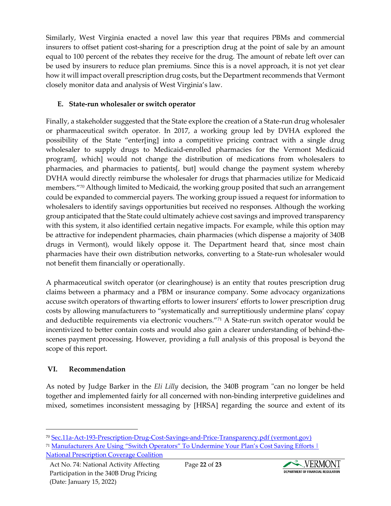Similarly, West Virginia enacted a novel law this year that requires PBMs and commercial insurers to offset patient cost-sharing for a prescription drug at the point of sale by an amount equal to 100 percent of the rebates they receive for the drug. The amount of rebate left over can be used by insurers to reduce plan premiums. Since this is a novel approach, it is not yet clear how it will impact overall prescription drug costs, but the Department recommends that Vermont closely monitor data and analysis of West Virginia's law.

## **E. State-run wholesaler or switch operator**

Finally, a stakeholder suggested that the State explore the creation of a State-run drug wholesaler or pharmaceutical switch operator. In 2017, a working group led by DVHA explored the possibility of the State "enter[ing] into a competitive pricing contract with a single drug wholesaler to supply drugs to Medicaid-enrolled pharmacies for the Vermont Medicaid program[, which] would not change the distribution of medications from wholesalers to pharmacies, and pharmacies to patients[, but] would change the payment system whereby DVHA would directly reimburse the wholesaler for drugs that pharmacies utilize for Medicaid members."<sup>[70](#page-21-0)</sup> Although limited to Medicaid, the working group posited that such an arrangement could be expanded to commercial payers. The working group issued a request for information to wholesalers to identify savings opportunities but received no responses. Although the working group anticipated that the State could ultimately achieve cost savings and improved transparency with this system, it also identified certain negative impacts. For example, while this option may be attractive for independent pharmacies, chain pharmacies (which dispense a majority of 340B drugs in Vermont), would likely oppose it. The Department heard that, since most chain pharmacies have their own distribution networks, converting to a State-run wholesaler would not benefit them financially or operationally.

A pharmaceutical switch operator (or clearinghouse) is an entity that routes prescription drug claims between a pharmacy and a PBM or insurance company. Some advocacy organizations accuse switch operators of thwarting efforts to lower insurers' efforts to lower prescription drug costs by allowing manufacturers to "systematically and surreptitiously undermine plans' copay and deductible requirements via electronic vouchers."[71](#page-21-1) A State-run switch operator would be incentivized to better contain costs and would also gain a clearer understanding of behind-thescenes payment processing. However, providing a full analysis of this proposal is beyond the scope of this report.

# **VI. Recommendation**

As noted by Judge Barker in the *Eli Lilly* decision, the 340B program "can no longer be held together and implemented fairly for all concerned with non-binding interpretive guidelines and mixed, sometimes inconsistent messaging by [HRSA] regarding the source and extent of its



<span id="page-21-0"></span><sup>70</sup> [Sec.11a-Act-193-Prescription-Drug-Cost-Savings-and-Price-Transparency.pdf \(vermont.gov\)](https://legislature.vermont.gov/assets/Legislative-Reports/Sec.11a-Act-193-Prescription-Drug-Cost-Savings-and-Price-Transparency.pdf)

<span id="page-21-1"></span><sup>71</sup> Manufacturers Are Using "Switch Operators" To Undermine Your Plan's Cost Saving Efforts | [National Prescription Coverage Coalition](https://nationalprescriptioncoveragecoalition.com/manufacturers-are-using-switch-operators-to-undermine-your-plans-cost-saving-efforts/)